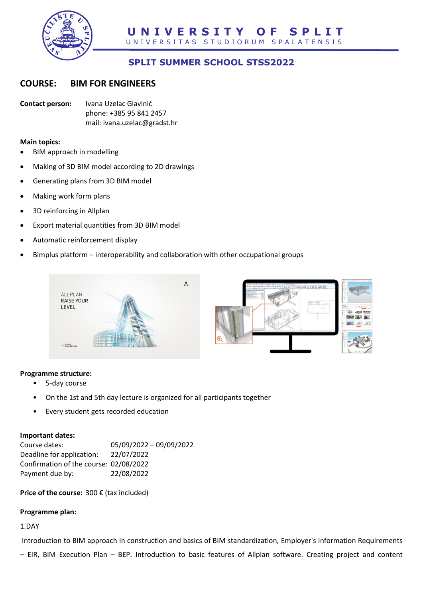

# **SPLIT SUMMER SCHOOL STSS2022**

## **COURSE: BIM FOR ENGINEERS**

**Contact person:** Ivana Uzelac Glavinić phone: +385 95 841 2457 mail: ivana.uzelac@gradst.hr

#### **Main topics:**

- BIM approach in modelling
- Making of 3D BIM model according to 2D drawings
- Generating plans from 3D BIM model
- Making work form plans
- 3D reinforcing in Allplan
- Export material quantities from 3D BIM model
- Automatic reinforcement display
- Bimplus platform interoperability and collaboration with other occupational groups



#### **Programme structure:**

- 5-day course
- On the 1st and 5th day lecture is organized for all participants together
- Every student gets recorded education

#### **Important dates:**

| Course dates:                          | 05/09/2022 - 09/09/2022 |
|----------------------------------------|-------------------------|
| Deadline for application:              | 22/07/2022              |
| Confirmation of the course: 02/08/2022 |                         |
| Payment due by:                        | 22/08/2022              |

**Price of the course:** 300 € (tax included)

#### **Programme plan:**

### 1.DAY

Introduction to BIM approach in construction and basics of BIM standardization, Employer's Information Requirements

– EIR, BIM Execution Plan – BEP. Introduction to basic features of Allplan software. Creating project and content